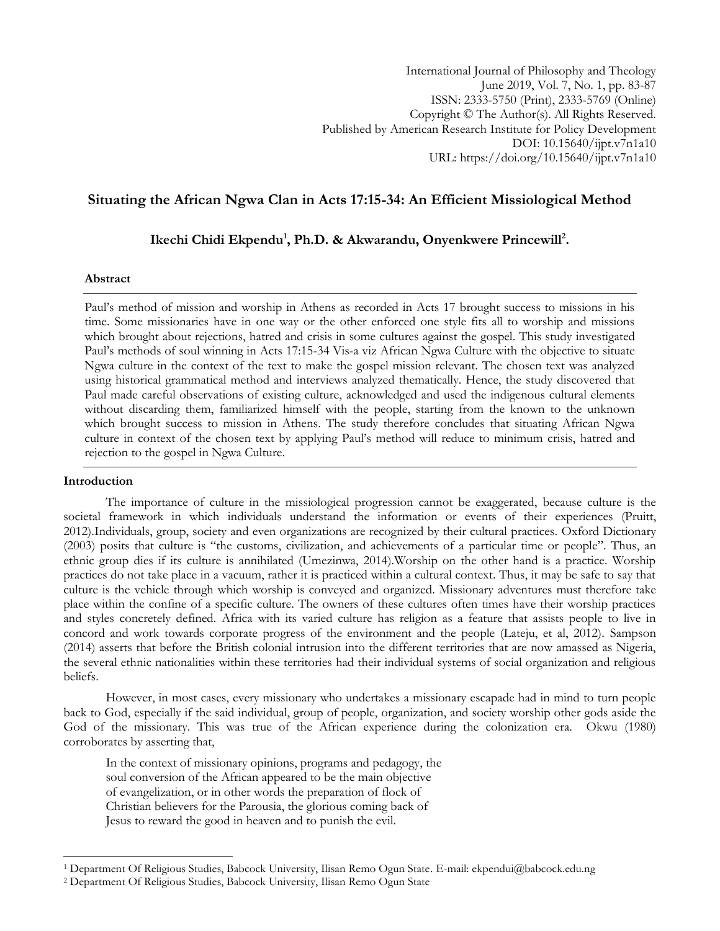# **Situating the African Ngwa Clan in Acts 17:15-34: An Efficient Missiological Method**

**Ikechi Chidi Ekpendu<sup>1</sup> , Ph.D. & Akwarandu, Onyenkwere Princewill<sup>2</sup> .**

### **Abstract**

Paul"s method of mission and worship in Athens as recorded in Acts 17 brought success to missions in his time. Some missionaries have in one way or the other enforced one style fits all to worship and missions which brought about rejections, hatred and crisis in some cultures against the gospel. This study investigated Paul"s methods of soul winning in Acts 17:15-34 Vis-a viz African Ngwa Culture with the objective to situate Ngwa culture in the context of the text to make the gospel mission relevant. The chosen text was analyzed using historical grammatical method and interviews analyzed thematically. Hence, the study discovered that Paul made careful observations of existing culture, acknowledged and used the indigenous cultural elements without discarding them, familiarized himself with the people, starting from the known to the unknown which brought success to mission in Athens. The study therefore concludes that situating African Ngwa culture in context of the chosen text by applying Paul"s method will reduce to minimum crisis, hatred and rejection to the gospel in Ngwa Culture.

### **Introduction**

 $\overline{a}$ 

The importance of culture in the missiological progression cannot be exaggerated, because culture is the societal framework in which individuals understand the information or events of their experiences (Pruitt, 2012).Individuals, group, society and even organizations are recognized by their cultural practices. Oxford Dictionary (2003) posits that culture is "the customs, civilization, and achievements of a particular time or people". Thus, an ethnic group dies if its culture is annihilated (Umezinwa, 2014).Worship on the other hand is a practice. Worship practices do not take place in a vacuum, rather it is practiced within a cultural context. Thus, it may be safe to say that culture is the vehicle through which worship is conveyed and organized. Missionary adventures must therefore take place within the confine of a specific culture. The owners of these cultures often times have their worship practices and styles concretely defined. Africa with its varied culture has religion as a feature that assists people to live in concord and work towards corporate progress of the environment and the people (Lateju, et al, 2012). Sampson (2014) asserts that before the British colonial intrusion into the different territories that are now amassed as Nigeria, the several ethnic nationalities within these territories had their individual systems of social organization and religious beliefs.

However, in most cases, every missionary who undertakes a missionary escapade had in mind to turn people back to God, especially if the said individual, group of people, organization, and society worship other gods aside the God of the missionary. This was true of the African experience during the colonization era. Okwu (1980) corroborates by asserting that,

In the context of missionary opinions, programs and pedagogy, the soul conversion of the African appeared to be the main objective of evangelization, or in other words the preparation of flock of Christian believers for the Parousia, the glorious coming back of Jesus to reward the good in heaven and to punish the evil.

<sup>1</sup> Department Of Religious Studies, Babcock University, Ilisan Remo Ogun State. E-mail: ekpendui@babcock.edu.ng

<sup>2</sup> Department Of Religious Studies, Babcock University, Ilisan Remo Ogun State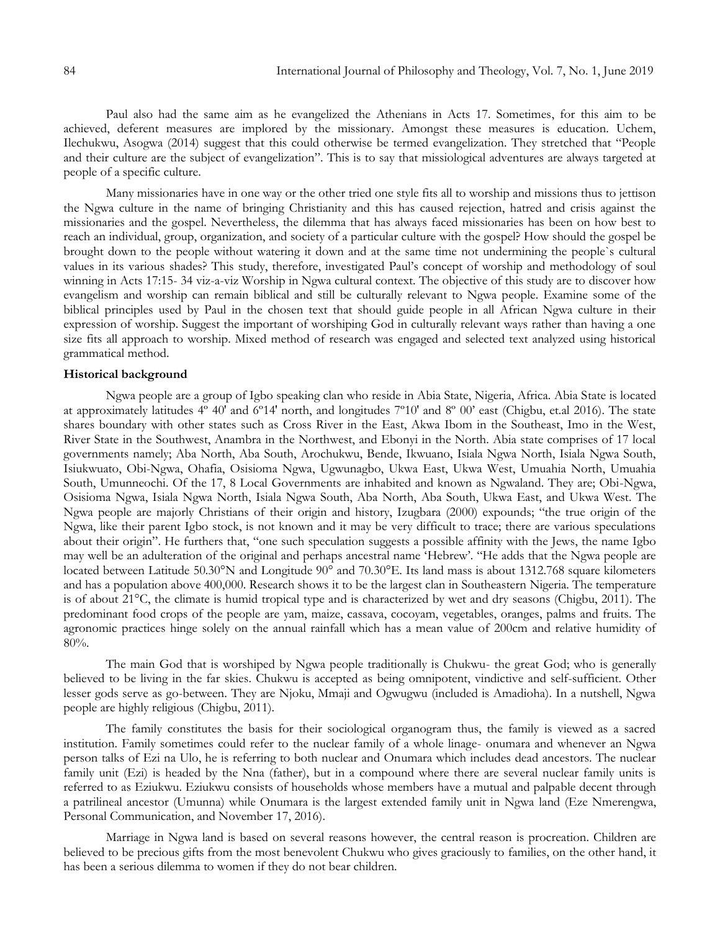Paul also had the same aim as he evangelized the Athenians in Acts 17. Sometimes, for this aim to be achieved, deferent measures are implored by the missionary. Amongst these measures is education. Uchem, Ilechukwu, Asogwa (2014) suggest that this could otherwise be termed evangelization. They stretched that "People and their culture are the subject of evangelization". This is to say that missiological adventures are always targeted at people of a specific culture.

Many missionaries have in one way or the other tried one style fits all to worship and missions thus to jettison the Ngwa culture in the name of bringing Christianity and this has caused rejection, hatred and crisis against the missionaries and the gospel. Nevertheless, the dilemma that has always faced missionaries has been on how best to reach an individual, group, organization, and society of a particular culture with the gospel? How should the gospel be brought down to the people without watering it down and at the same time not undermining the people`s cultural values in its various shades? This study, therefore, investigated Paul"s concept of worship and methodology of soul winning in Acts 17:15- 34 viz-a-viz Worship in Ngwa cultural context. The objective of this study are to discover how evangelism and worship can remain biblical and still be culturally relevant to Ngwa people. Examine some of the biblical principles used by Paul in the chosen text that should guide people in all African Ngwa culture in their expression of worship. Suggest the important of worshiping God in culturally relevant ways rather than having a one size fits all approach to worship. Mixed method of research was engaged and selected text analyzed using historical grammatical method.

### **Historical background**

Ngwa people are a group of Igbo speaking clan who reside in Abia State, Nigeria, Africa. Abia State is located at approximately latitudes 4º 40′ and 6º14′ north, and longitudes 7º10′ and 8º 00" east (Chigbu, et.al 2016). The state shares boundary with other states such as Cross River in the East, Akwa Ibom in the Southeast, Imo in the West, River State in the Southwest, Anambra in the Northwest, and Ebonyi in the North. Abia state comprises of 17 local governments namely; Aba North, Aba South, Arochukwu, Bende, Ikwuano, Isiala Ngwa North, Isiala Ngwa South, Isiukwuato, Obi-Ngwa, Ohafia, Osisioma Ngwa, Ugwunagbo, Ukwa East, Ukwa West, Umuahia North, Umuahia South, Umunneochi. Of the 17, 8 Local Governments are inhabited and known as Ngwaland. They are; Obi-Ngwa, Osisioma Ngwa, Isiala Ngwa North, Isiala Ngwa South, Aba North, Aba South, Ukwa East, and Ukwa West. The Ngwa people are majorly Christians of their origin and history, Izugbara (2000) expounds; "the true origin of the Ngwa, like their parent Igbo stock, is not known and it may be very difficult to trace; there are various speculations about their origin". He furthers that, "one such speculation suggests a possible affinity with the Jews, the name Igbo may well be an adulteration of the original and perhaps ancestral name 'Hebrew'. "He adds that the Ngwa people are located between Latitude 50.30°N and Longitude 90° and 70.30°E. Its land mass is about 1312.768 square kilometers and has a population above 400,000. Research shows it to be the largest clan in Southeastern Nigeria. The temperature is of about 21°C, the climate is humid tropical type and is characterized by wet and dry seasons (Chigbu, 2011). The predominant food crops of the people are yam, maize, cassava, cocoyam, vegetables, oranges, palms and fruits. The agronomic practices hinge solely on the annual rainfall which has a mean value of 200cm and relative humidity of 80%.

The main God that is worshiped by Ngwa people traditionally is Chukwu- the great God; who is generally believed to be living in the far skies. Chukwu is accepted as being omnipotent, vindictive and self-sufficient. Other lesser gods serve as go-between. They are Njoku, Mmaji and Ogwugwu (included is Amadioha). In a nutshell, Ngwa people are highly religious (Chigbu, 2011).

The family constitutes the basis for their sociological organogram thus, the family is viewed as a sacred institution. Family sometimes could refer to the nuclear family of a whole linage- onumara and whenever an Ngwa person talks of Ezi na Ulo, he is referring to both nuclear and Onumara which includes dead ancestors. The nuclear family unit (Ezi) is headed by the Nna (father), but in a compound where there are several nuclear family units is referred to as Eziukwu. Eziukwu consists of households whose members have a mutual and palpable decent through a patrilineal ancestor (Umunna) while Onumara is the largest extended family unit in Ngwa land (Eze Nmerengwa, Personal Communication, and November 17, 2016).

Marriage in Ngwa land is based on several reasons however, the central reason is procreation. Children are believed to be precious gifts from the most benevolent Chukwu who gives graciously to families, on the other hand, it has been a serious dilemma to women if they do not bear children.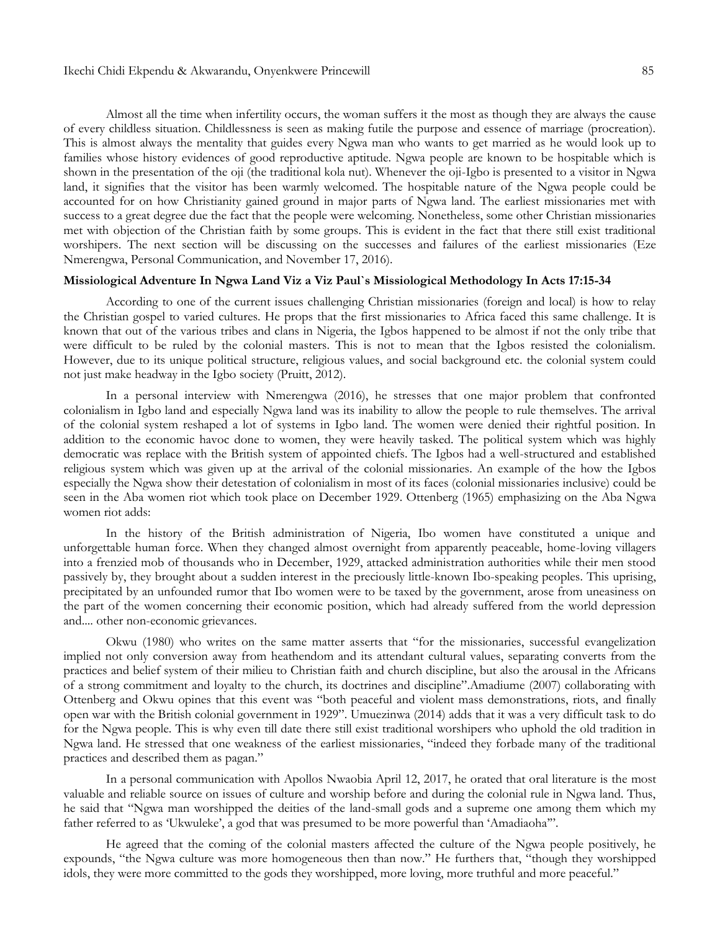Almost all the time when infertility occurs, the woman suffers it the most as though they are always the cause of every childless situation. Childlessness is seen as making futile the purpose and essence of marriage (procreation). This is almost always the mentality that guides every Ngwa man who wants to get married as he would look up to families whose history evidences of good reproductive aptitude. Ngwa people are known to be hospitable which is shown in the presentation of the oji (the traditional kola nut). Whenever the oji-Igbo is presented to a visitor in Ngwa land, it signifies that the visitor has been warmly welcomed. The hospitable nature of the Ngwa people could be accounted for on how Christianity gained ground in major parts of Ngwa land. The earliest missionaries met with success to a great degree due the fact that the people were welcoming. Nonetheless, some other Christian missionaries met with objection of the Christian faith by some groups. This is evident in the fact that there still exist traditional worshipers. The next section will be discussing on the successes and failures of the earliest missionaries (Eze Nmerengwa, Personal Communication, and November 17, 2016).

## **Missiological Adventure In Ngwa Land Viz a Viz Paul`s Missiological Methodology In Acts 17:15-34**

According to one of the current issues challenging Christian missionaries (foreign and local) is how to relay the Christian gospel to varied cultures. He props that the first missionaries to Africa faced this same challenge. It is known that out of the various tribes and clans in Nigeria, the Igbos happened to be almost if not the only tribe that were difficult to be ruled by the colonial masters. This is not to mean that the Igbos resisted the colonialism. However, due to its unique political structure, religious values, and social background etc. the colonial system could not just make headway in the Igbo society (Pruitt, 2012).

In a personal interview with Nmerengwa (2016), he stresses that one major problem that confronted colonialism in Igbo land and especially Ngwa land was its inability to allow the people to rule themselves. The arrival of the colonial system reshaped a lot of systems in Igbo land. The women were denied their rightful position. In addition to the economic havoc done to women, they were heavily tasked. The political system which was highly democratic was replace with the British system of appointed chiefs. The Igbos had a well-structured and established religious system which was given up at the arrival of the colonial missionaries. An example of the how the Igbos especially the Ngwa show their detestation of colonialism in most of its faces (colonial missionaries inclusive) could be seen in the Aba women riot which took place on December 1929. Ottenberg (1965) emphasizing on the Aba Ngwa women riot adds:

In the history of the British administration of Nigeria, Ibo women have constituted a unique and unforgettable human force. When they changed almost overnight from apparently peaceable, home-loving villagers into a frenzied mob of thousands who in December, 1929, attacked administration authorities while their men stood passively by, they brought about a sudden interest in the preciously little-known Ibo-speaking peoples. This uprising, precipitated by an unfounded rumor that Ibo women were to be taxed by the government, arose from uneasiness on the part of the women concerning their economic position, which had already suffered from the world depression and.... other non-economic grievances.

Okwu (1980) who writes on the same matter asserts that "for the missionaries, successful evangelization implied not only conversion away from heathendom and its attendant cultural values, separating converts from the practices and belief system of their milieu to Christian faith and church discipline, but also the arousal in the Africans of a strong commitment and loyalty to the church, its doctrines and discipline".Amadiume (2007) collaborating with Ottenberg and Okwu opines that this event was "both peaceful and violent mass demonstrations, riots, and finally open war with the British colonial government in 1929". Umuezinwa (2014) adds that it was a very difficult task to do for the Ngwa people. This is why even till date there still exist traditional worshipers who uphold the old tradition in Ngwa land. He stressed that one weakness of the earliest missionaries, "indeed they forbade many of the traditional practices and described them as pagan."

In a personal communication with Apollos Nwaobia April 12, 2017, he orated that oral literature is the most valuable and reliable source on issues of culture and worship before and during the colonial rule in Ngwa land. Thus, he said that "Ngwa man worshipped the deities of the land-small gods and a supreme one among them which my father referred to as 'Ukwuleke', a god that was presumed to be more powerful than 'Amadiaoha'".

He agreed that the coming of the colonial masters affected the culture of the Ngwa people positively, he expounds, "the Ngwa culture was more homogeneous then than now." He furthers that, "though they worshipped idols, they were more committed to the gods they worshipped, more loving, more truthful and more peaceful."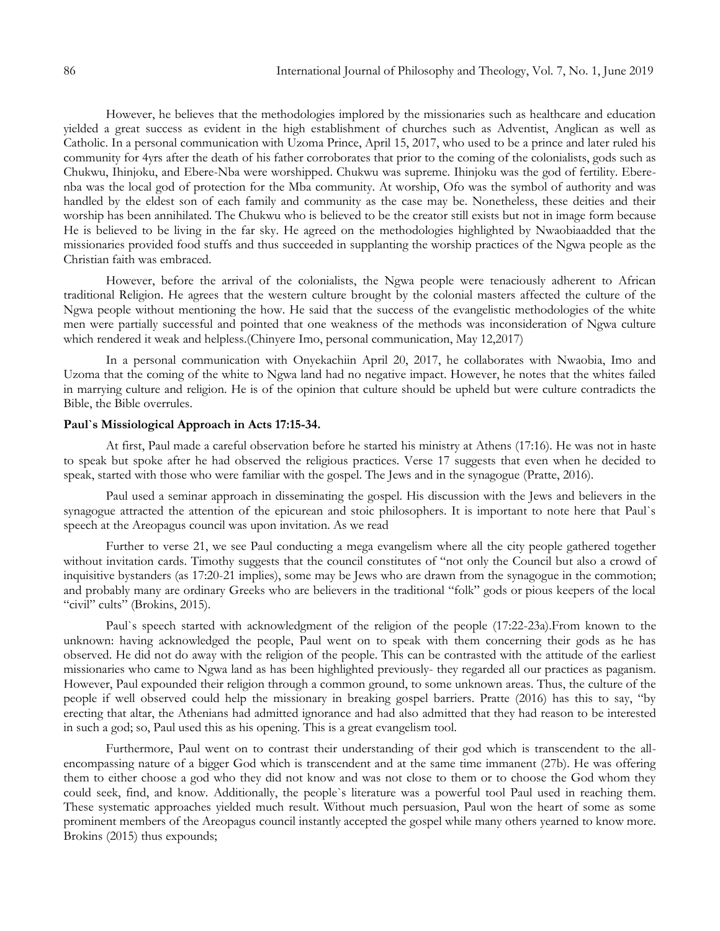However, he believes that the methodologies implored by the missionaries such as healthcare and education yielded a great success as evident in the high establishment of churches such as Adventist, Anglican as well as Catholic. In a personal communication with Uzoma Prince, April 15, 2017, who used to be a prince and later ruled his community for 4yrs after the death of his father corroborates that prior to the coming of the colonialists, gods such as Chukwu, Ihinjoku, and Ebere-Nba were worshipped. Chukwu was supreme. Ihinjoku was the god of fertility. Eberenba was the local god of protection for the Mba community. At worship, Ofo was the symbol of authority and was handled by the eldest son of each family and community as the case may be. Nonetheless, these deities and their worship has been annihilated. The Chukwu who is believed to be the creator still exists but not in image form because He is believed to be living in the far sky. He agreed on the methodologies highlighted by Nwaobiaadded that the missionaries provided food stuffs and thus succeeded in supplanting the worship practices of the Ngwa people as the Christian faith was embraced.

However, before the arrival of the colonialists, the Ngwa people were tenaciously adherent to African traditional Religion. He agrees that the western culture brought by the colonial masters affected the culture of the Ngwa people without mentioning the how. He said that the success of the evangelistic methodologies of the white men were partially successful and pointed that one weakness of the methods was inconsideration of Ngwa culture which rendered it weak and helpless.(Chinyere Imo, personal communication, May 12,2017)

In a personal communication with Onyekachiin April 20, 2017, he collaborates with Nwaobia, Imo and Uzoma that the coming of the white to Ngwa land had no negative impact. However, he notes that the whites failed in marrying culture and religion. He is of the opinion that culture should be upheld but were culture contradicts the Bible, the Bible overrules.

### **Paul`s Missiological Approach in Acts 17:15-34.**

At first, Paul made a careful observation before he started his ministry at Athens (17:16). He was not in haste to speak but spoke after he had observed the religious practices. Verse 17 suggests that even when he decided to speak, started with those who were familiar with the gospel. The Jews and in the synagogue (Pratte, 2016).

Paul used a seminar approach in disseminating the gospel. His discussion with the Jews and believers in the synagogue attracted the attention of the epicurean and stoic philosophers. It is important to note here that Paul`s speech at the Areopagus council was upon invitation. As we read

Further to verse 21, we see Paul conducting a mega evangelism where all the city people gathered together without invitation cards. Timothy suggests that the council constitutes of "not only the Council but also a crowd of inquisitive bystanders (as 17:20-21 implies), some may be Jews who are drawn from the synagogue in the commotion; and probably many are ordinary Greeks who are believers in the traditional "folk" gods or pious keepers of the local "civil" cults" (Brokins, 2015).

Paul`s speech started with acknowledgment of the religion of the people (17:22-23a).From known to the unknown: having acknowledged the people, Paul went on to speak with them concerning their gods as he has observed. He did not do away with the religion of the people. This can be contrasted with the attitude of the earliest missionaries who came to Ngwa land as has been highlighted previously- they regarded all our practices as paganism. However, Paul expounded their religion through a common ground, to some unknown areas. Thus, the culture of the people if well observed could help the missionary in breaking gospel barriers. Pratte (2016) has this to say, "by erecting that altar, the Athenians had admitted ignorance and had also admitted that they had reason to be interested in such a god; so, Paul used this as his opening. This is a great evangelism tool.

Furthermore, Paul went on to contrast their understanding of their god which is transcendent to the allencompassing nature of a bigger God which is transcendent and at the same time immanent (27b). He was offering them to either choose a god who they did not know and was not close to them or to choose the God whom they could seek, find, and know. Additionally, the people`s literature was a powerful tool Paul used in reaching them. These systematic approaches yielded much result. Without much persuasion, Paul won the heart of some as some prominent members of the Areopagus council instantly accepted the gospel while many others yearned to know more. Brokins (2015) thus expounds;